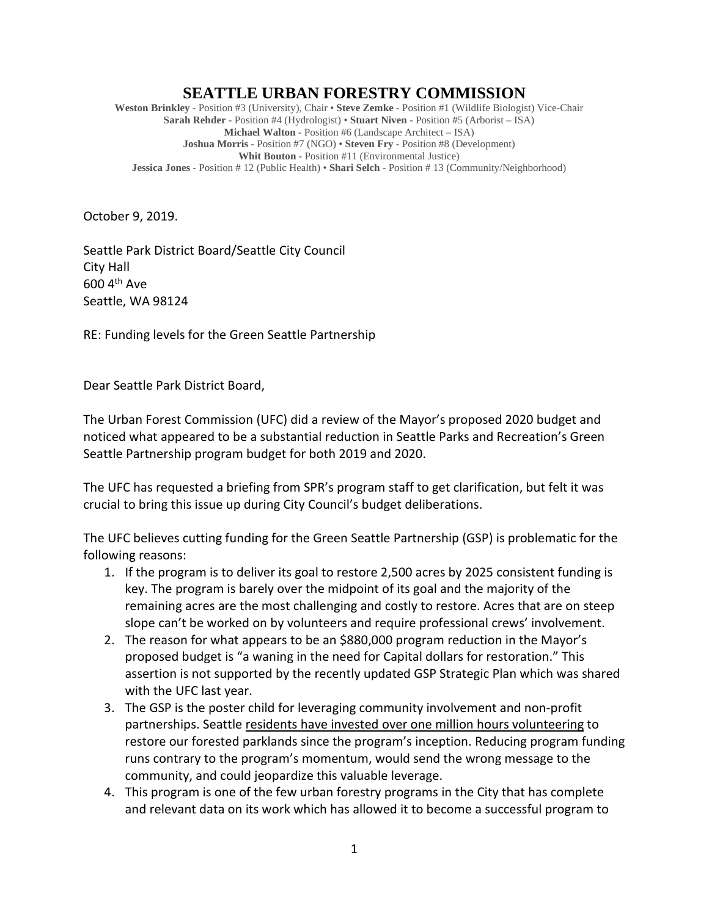## **SEATTLE URBAN FORESTRY COMMISSION**

**Weston Brinkley** - Position #3 (University), Chair • **Steve Zemke** - Position #1 (Wildlife Biologist) Vice-Chair **Sarah Rehder** - Position #4 (Hydrologist) • **Stuart Niven** - Position #5 (Arborist – ISA) **Michael Walton** - Position #6 (Landscape Architect – ISA) **Joshua Morris** - Position #7 (NGO) • **Steven Fry** - Position #8 (Development) **Whit Bouton** - Position #11 (Environmental Justice) **Jessica Jones** - Position # 12 (Public Health) • **Shari Selch** - Position # 13 (Community/Neighborhood)

October 9, 2019.

Seattle Park District Board/Seattle City Council City Hall 600 4th Ave Seattle, WA 98124

RE: Funding levels for the Green Seattle Partnership

Dear Seattle Park District Board,

The Urban Forest Commission (UFC) did a review of the Mayor's proposed 2020 budget and noticed what appeared to be a substantial reduction in Seattle Parks and Recreation's Green Seattle Partnership program budget for both 2019 and 2020.

The UFC has requested a briefing from SPR's program staff to get clarification, but felt it was crucial to bring this issue up during City Council's budget deliberations.

The UFC believes cutting funding for the Green Seattle Partnership (GSP) is problematic for the following reasons:

- 1. If the program is to deliver its goal to restore 2,500 acres by 2025 consistent funding is key. The program is barely over the midpoint of its goal and the majority of the remaining acres are the most challenging and costly to restore. Acres that are on steep slope can't be worked on by volunteers and require professional crews' involvement.
- 2. The reason for what appears to be an \$880,000 program reduction in the Mayor's proposed budget is "a waning in the need for Capital dollars for restoration." This assertion is not supported by the recently updated GSP Strategic Plan which was shared with the UFC last year.
- 3. The GSP is the poster child for leveraging community involvement and non-profit partnerships. Seattle residents have invested over one million hours volunteering to restore our forested parklands since the program's inception. Reducing program funding runs contrary to the program's momentum, would send the wrong message to the community, and could jeopardize this valuable leverage.
- 4. This program is one of the few urban forestry programs in the City that has complete and relevant data on its work which has allowed it to become a successful program to